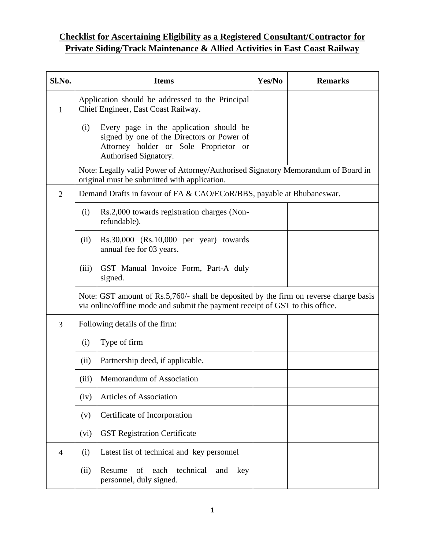# **Checklist for Ascertaining Eligibility as a Registered Consultant/Contractor for Private Siding/Track Maintenance & Allied Activities in East Coast Railway**

| Sl.No.         | <b>Items</b>                                                                                                                                                           |                                                                                                                                                         | Yes/No | <b>Remarks</b> |  |
|----------------|------------------------------------------------------------------------------------------------------------------------------------------------------------------------|---------------------------------------------------------------------------------------------------------------------------------------------------------|--------|----------------|--|
| $\mathbf{1}$   | Application should be addressed to the Principal<br>Chief Engineer, East Coast Railway.                                                                                |                                                                                                                                                         |        |                |  |
|                | (i)                                                                                                                                                                    | Every page in the application should be<br>signed by one of the Directors or Power of<br>Attorney holder or Sole Proprietor or<br>Authorised Signatory. |        |                |  |
|                |                                                                                                                                                                        | Note: Legally valid Power of Attorney/Authorised Signatory Memorandum of Board in<br>original must be submitted with application.                       |        |                |  |
| $\overline{2}$ | Demand Drafts in favour of FA & CAO/ECoR/BBS, payable at Bhubaneswar.                                                                                                  |                                                                                                                                                         |        |                |  |
|                | (i)                                                                                                                                                                    | Rs.2,000 towards registration charges (Non-<br>refundable).                                                                                             |        |                |  |
|                | (ii)                                                                                                                                                                   | $Rs.30,000$ $(Rs.10,000$ per year) towards<br>annual fee for 03 years.                                                                                  |        |                |  |
|                | (iii)                                                                                                                                                                  | GST Manual Invoice Form, Part-A duly<br>signed.                                                                                                         |        |                |  |
|                | Note: GST amount of Rs.5,760/- shall be deposited by the firm on reverse charge basis<br>via online/offline mode and submit the payment receipt of GST to this office. |                                                                                                                                                         |        |                |  |
| 3              | Following details of the firm:                                                                                                                                         |                                                                                                                                                         |        |                |  |
|                | (i)                                                                                                                                                                    | Type of firm                                                                                                                                            |        |                |  |
|                | (ii)                                                                                                                                                                   | Partnership deed, if applicable.                                                                                                                        |        |                |  |
|                | (iii)                                                                                                                                                                  | Memorandum of Association                                                                                                                               |        |                |  |
|                | (iv)                                                                                                                                                                   | <b>Articles of Association</b>                                                                                                                          |        |                |  |
|                | (v)                                                                                                                                                                    | Certificate of Incorporation                                                                                                                            |        |                |  |
|                | (vi)                                                                                                                                                                   | <b>GST Registration Certificate</b>                                                                                                                     |        |                |  |
| $\overline{4}$ | (i)                                                                                                                                                                    | Latest list of technical and key personnel                                                                                                              |        |                |  |
|                | (ii)                                                                                                                                                                   | of each<br>technical<br>Resume<br>and<br>key<br>personnel, duly signed.                                                                                 |        |                |  |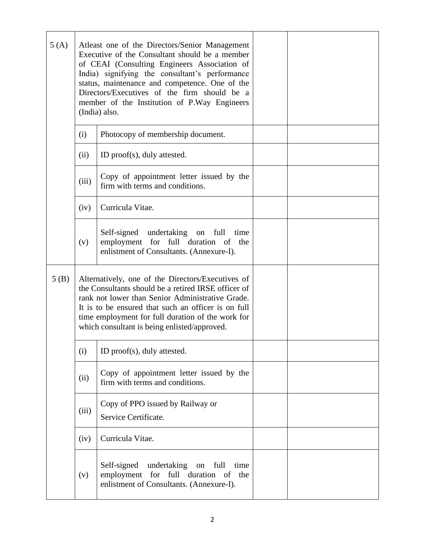| 5(A) | Atleast one of the Directors/Senior Management<br>Executive of the Consultant should be a member<br>of CEAI (Consulting Engineers Association of<br>India) signifying the consultant's performance<br>status, maintenance and competence. One of the<br>Directors/Executives of the firm should be a<br>member of the Institution of P.Way Engineers<br>(India) also. |                                                                                                                                        |  |  |
|------|-----------------------------------------------------------------------------------------------------------------------------------------------------------------------------------------------------------------------------------------------------------------------------------------------------------------------------------------------------------------------|----------------------------------------------------------------------------------------------------------------------------------------|--|--|
|      | (i)                                                                                                                                                                                                                                                                                                                                                                   | Photocopy of membership document.                                                                                                      |  |  |
|      | (ii)                                                                                                                                                                                                                                                                                                                                                                  | ID proof(s), duly attested.                                                                                                            |  |  |
|      | (iii)                                                                                                                                                                                                                                                                                                                                                                 | Copy of appointment letter issued by the<br>firm with terms and conditions.                                                            |  |  |
|      | (iv)                                                                                                                                                                                                                                                                                                                                                                  | Curricula Vitae.                                                                                                                       |  |  |
|      | (v)                                                                                                                                                                                                                                                                                                                                                                   | Self-signed undertaking on full<br>time<br>employment for full duration of the<br>enlistment of Consultants. (Annexure-I).             |  |  |
| 5(B) | Alternatively, one of the Directors/Executives of<br>the Consultants should be a retired IRSE officer of<br>rank not lower than Senior Administrative Grade.<br>It is to be ensured that such an officer is on full<br>time employment for full duration of the work for<br>which consultant is being enlisted/approved.                                              |                                                                                                                                        |  |  |
|      | (i)<br>ID proof(s), duly attested.                                                                                                                                                                                                                                                                                                                                    |                                                                                                                                        |  |  |
|      | (ii)                                                                                                                                                                                                                                                                                                                                                                  | Copy of appointment letter issued by the<br>firm with terms and conditions.                                                            |  |  |
|      | (iii)                                                                                                                                                                                                                                                                                                                                                                 | Copy of PPO issued by Railway or<br>Service Certificate.                                                                               |  |  |
|      | (iv)                                                                                                                                                                                                                                                                                                                                                                  | Curricula Vitae.                                                                                                                       |  |  |
|      | (v)                                                                                                                                                                                                                                                                                                                                                                   | Self-signed<br>undertaking on<br>full<br>time<br>employment for full duration<br>of<br>the<br>enlistment of Consultants. (Annexure-I). |  |  |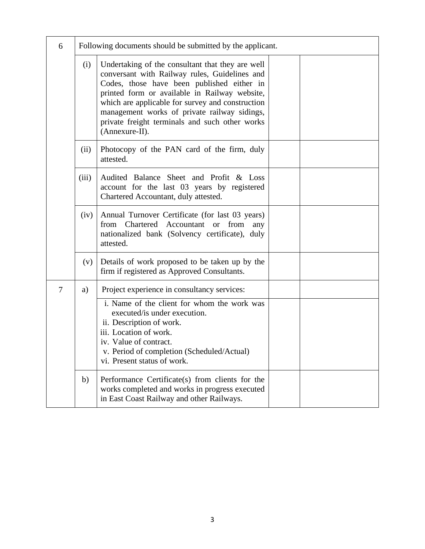| 6 |       | Following documents should be submitted by the applicant.                                                                                                                                                                                                                                                                                                                |  |  |  |
|---|-------|--------------------------------------------------------------------------------------------------------------------------------------------------------------------------------------------------------------------------------------------------------------------------------------------------------------------------------------------------------------------------|--|--|--|
|   | (i)   | Undertaking of the consultant that they are well<br>conversant with Railway rules, Guidelines and<br>Codes, those have been published either in<br>printed form or available in Railway website,<br>which are applicable for survey and construction<br>management works of private railway sidings,<br>private freight terminals and such other works<br>(Annexure-II). |  |  |  |
|   | (ii)  | Photocopy of the PAN card of the firm, duly<br>attested.                                                                                                                                                                                                                                                                                                                 |  |  |  |
|   | (iii) | Audited Balance Sheet and Profit & Loss<br>account for the last 03 years by registered<br>Chartered Accountant, duly attested.                                                                                                                                                                                                                                           |  |  |  |
|   | (iv)  | Annual Turnover Certificate (for last 03 years)<br>Chartered Accountant or from<br>from<br>any<br>nationalized bank (Solvency certificate), duly<br>attested.                                                                                                                                                                                                            |  |  |  |
|   | (v)   | Details of work proposed to be taken up by the<br>firm if registered as Approved Consultants.                                                                                                                                                                                                                                                                            |  |  |  |
| 7 | a)    | Project experience in consultancy services:                                                                                                                                                                                                                                                                                                                              |  |  |  |
|   |       | i. Name of the client for whom the work was<br>executed/is under execution.<br>ii. Description of work.<br>iii. Location of work.<br>iv. Value of contract.<br>v. Period of completion (Scheduled/Actual)<br>vi. Present status of work.                                                                                                                                 |  |  |  |
|   | b)    | Performance Certificate(s) from clients for the<br>works completed and works in progress executed<br>in East Coast Railway and other Railways.                                                                                                                                                                                                                           |  |  |  |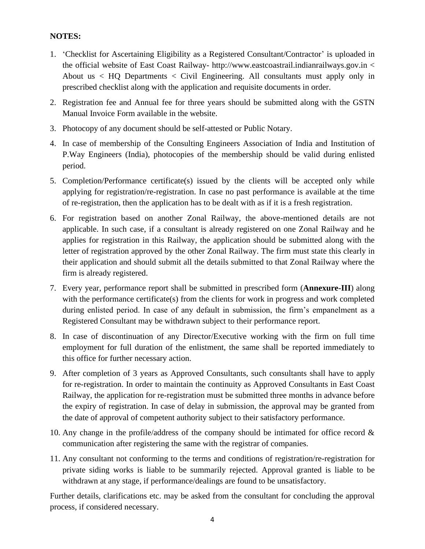#### **NOTES:**

- 1. 'Checklist for Ascertaining Eligibility as a Registered Consultant/Contractor' is uploaded in the official website of East Coast Railway- http://www.eastcoastrail.indianrailways.gov.in < About us < HQ Departments < Civil Engineering. All consultants must apply only in prescribed checklist along with the application and requisite documents in order.
- 2. Registration fee and Annual fee for three years should be submitted along with the GSTN Manual Invoice Form available in the website.
- 3. Photocopy of any document should be self-attested or Public Notary.
- 4. In case of membership of the Consulting Engineers Association of India and Institution of P.Way Engineers (India), photocopies of the membership should be valid during enlisted period.
- 5. Completion/Performance certificate(s) issued by the clients will be accepted only while applying for registration/re-registration. In case no past performance is available at the time of re-registration, then the application has to be dealt with as if it is a fresh registration.
- 6. For registration based on another Zonal Railway, the above-mentioned details are not applicable. In such case, if a consultant is already registered on one Zonal Railway and he applies for registration in this Railway, the application should be submitted along with the letter of registration approved by the other Zonal Railway. The firm must state this clearly in their application and should submit all the details submitted to that Zonal Railway where the firm is already registered.
- 7. Every year, performance report shall be submitted in prescribed form (**Annexure-III**) along with the performance certificate(s) from the clients for work in progress and work completed during enlisted period. In case of any default in submission, the firm's empanelment as a Registered Consultant may be withdrawn subject to their performance report.
- 8. In case of discontinuation of any Director/Executive working with the firm on full time employment for full duration of the enlistment, the same shall be reported immediately to this office for further necessary action.
- 9. After completion of 3 years as Approved Consultants, such consultants shall have to apply for re-registration. In order to maintain the continuity as Approved Consultants in East Coast Railway, the application for re-registration must be submitted three months in advance before the expiry of registration. In case of delay in submission, the approval may be granted from the date of approval of competent authority subject to their satisfactory performance.
- 10. Any change in the profile/address of the company should be intimated for office record  $\&$ communication after registering the same with the registrar of companies.
- 11. Any consultant not conforming to the terms and conditions of registration/re-registration for private siding works is liable to be summarily rejected. Approval granted is liable to be withdrawn at any stage, if performance/dealings are found to be unsatisfactory.

Further details, clarifications etc. may be asked from the consultant for concluding the approval process, if considered necessary.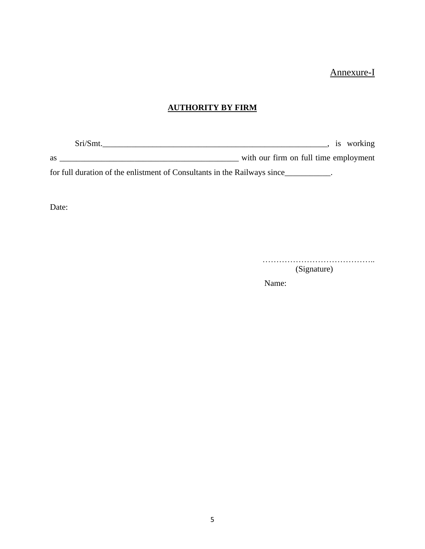### Annexure-I

#### **AUTHORITY BY FIRM**

Sri/Smt.\_\_\_\_\_\_\_\_\_\_\_\_\_\_\_\_\_\_\_\_\_\_\_\_\_\_\_\_\_\_\_\_\_\_\_\_\_\_\_\_\_\_\_\_\_\_\_\_\_\_\_\_\_\_, is working as \_\_\_\_\_\_\_\_\_\_\_\_\_\_\_\_\_\_\_\_\_\_\_\_\_\_\_\_\_\_\_\_\_\_\_\_\_\_\_\_\_\_\_ with our firm on full time employment

for full duration of the enlistment of Consultants in the Railways since\_\_\_\_\_\_\_\_\_\_\_.

Date:

…………………………………..

(Signature)

Name: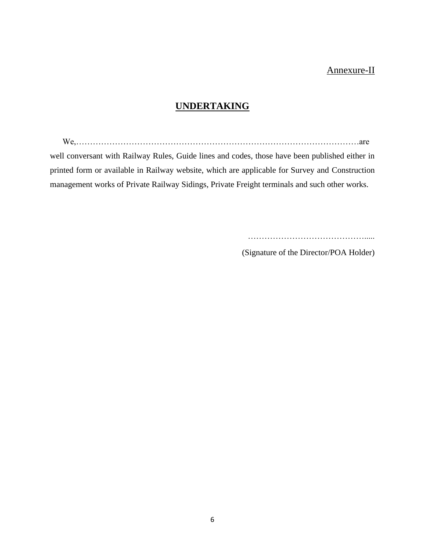## Annexure-II

## **UNDERTAKING**

We,…………………………………………………………………………………………are well conversant with Railway Rules, Guide lines and codes, those have been published either in printed form or available in Railway website, which are applicable for Survey and Construction

management works of Private Railway Sidings, Private Freight terminals and such other works.

…………………………………….....

(Signature of the Director/POA Holder)